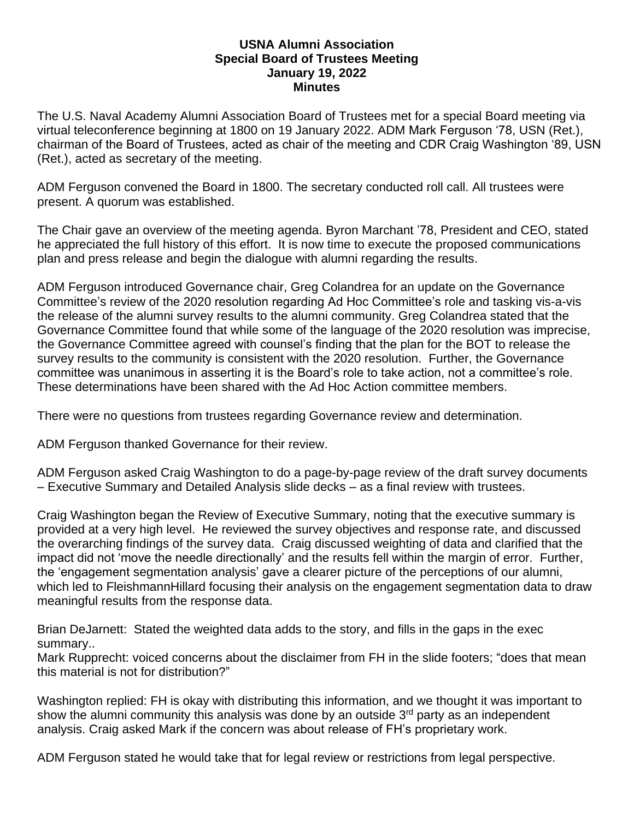## **USNA Alumni Association Special Board of Trustees Meeting January 19, 2022 Minutes**

The U.S. Naval Academy Alumni Association Board of Trustees met for a special Board meeting via virtual teleconference beginning at 1800 on 19 January 2022. ADM Mark Ferguson '78, USN (Ret.), chairman of the Board of Trustees, acted as chair of the meeting and CDR Craig Washington '89, USN (Ret.), acted as secretary of the meeting.

ADM Ferguson convened the Board in 1800. The secretary conducted roll call. All trustees were present. A quorum was established.

The Chair gave an overview of the meeting agenda. Byron Marchant '78, President and CEO, stated he appreciated the full history of this effort. It is now time to execute the proposed communications plan and press release and begin the dialogue with alumni regarding the results.

ADM Ferguson introduced Governance chair, Greg Colandrea for an update on the Governance Committee's review of the 2020 resolution regarding Ad Hoc Committee's role and tasking vis-a-vis the release of the alumni survey results to the alumni community. Greg Colandrea stated that the Governance Committee found that while some of the language of the 2020 resolution was imprecise, the Governance Committee agreed with counsel's finding that the plan for the BOT to release the survey results to the community is consistent with the 2020 resolution. Further, the Governance committee was unanimous in asserting it is the Board's role to take action, not a committee's role. These determinations have been shared with the Ad Hoc Action committee members.

There were no questions from trustees regarding Governance review and determination.

ADM Ferguson thanked Governance for their review.

ADM Ferguson asked Craig Washington to do a page-by-page review of the draft survey documents – Executive Summary and Detailed Analysis slide decks – as a final review with trustees.

Craig Washington began the Review of Executive Summary, noting that the executive summary is provided at a very high level. He reviewed the survey objectives and response rate, and discussed the overarching findings of the survey data. Craig discussed weighting of data and clarified that the impact did not 'move the needle directionally' and the results fell within the margin of error. Further, the 'engagement segmentation analysis' gave a clearer picture of the perceptions of our alumni, which led to FleishmannHillard focusing their analysis on the engagement segmentation data to draw meaningful results from the response data.

Brian DeJarnett: Stated the weighted data adds to the story, and fills in the gaps in the exec summary..

Mark Rupprecht: voiced concerns about the disclaimer from FH in the slide footers; "does that mean this material is not for distribution?"

Washington replied: FH is okay with distributing this information, and we thought it was important to show the alumni community this analysis was done by an outside  $3<sup>rd</sup>$  party as an independent analysis. Craig asked Mark if the concern was about release of FH's proprietary work.

ADM Ferguson stated he would take that for legal review or restrictions from legal perspective.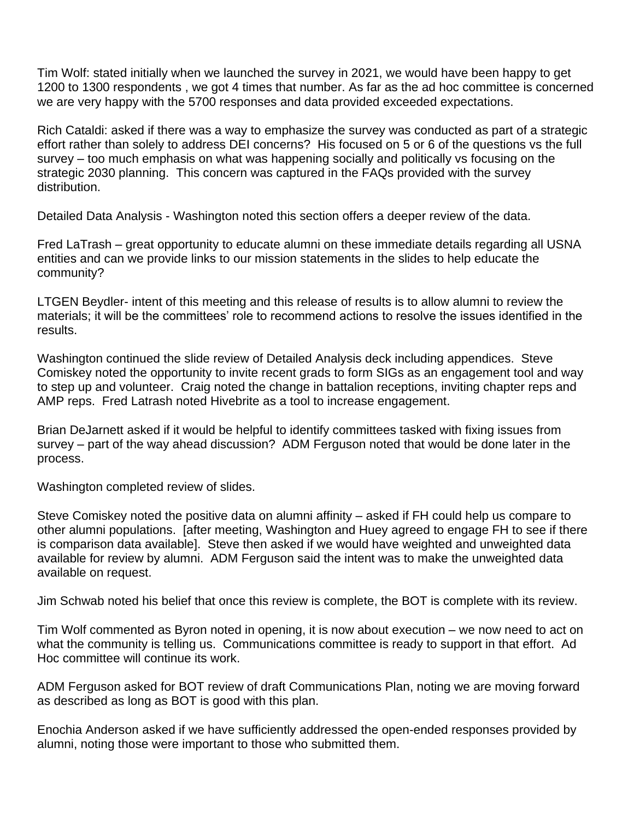Tim Wolf: stated initially when we launched the survey in 2021, we would have been happy to get 1200 to 1300 respondents , we got 4 times that number. As far as the ad hoc committee is concerned we are very happy with the 5700 responses and data provided exceeded expectations.

Rich Cataldi: asked if there was a way to emphasize the survey was conducted as part of a strategic effort rather than solely to address DEI concerns? His focused on 5 or 6 of the questions vs the full survey – too much emphasis on what was happening socially and politically vs focusing on the strategic 2030 planning. This concern was captured in the FAQs provided with the survey distribution.

Detailed Data Analysis - Washington noted this section offers a deeper review of the data.

Fred LaTrash – great opportunity to educate alumni on these immediate details regarding all USNA entities and can we provide links to our mission statements in the slides to help educate the community?

LTGEN Beydler- intent of this meeting and this release of results is to allow alumni to review the materials; it will be the committees' role to recommend actions to resolve the issues identified in the results.

Washington continued the slide review of Detailed Analysis deck including appendices. Steve Comiskey noted the opportunity to invite recent grads to form SIGs as an engagement tool and way to step up and volunteer. Craig noted the change in battalion receptions, inviting chapter reps and AMP reps. Fred Latrash noted Hivebrite as a tool to increase engagement.

Brian DeJarnett asked if it would be helpful to identify committees tasked with fixing issues from survey – part of the way ahead discussion? ADM Ferguson noted that would be done later in the process.

Washington completed review of slides.

Steve Comiskey noted the positive data on alumni affinity – asked if FH could help us compare to other alumni populations. [after meeting, Washington and Huey agreed to engage FH to see if there is comparison data available]. Steve then asked if we would have weighted and unweighted data available for review by alumni. ADM Ferguson said the intent was to make the unweighted data available on request.

Jim Schwab noted his belief that once this review is complete, the BOT is complete with its review.

Tim Wolf commented as Byron noted in opening, it is now about execution – we now need to act on what the community is telling us. Communications committee is ready to support in that effort. Ad Hoc committee will continue its work.

ADM Ferguson asked for BOT review of draft Communications Plan, noting we are moving forward as described as long as BOT is good with this plan.

Enochia Anderson asked if we have sufficiently addressed the open-ended responses provided by alumni, noting those were important to those who submitted them.